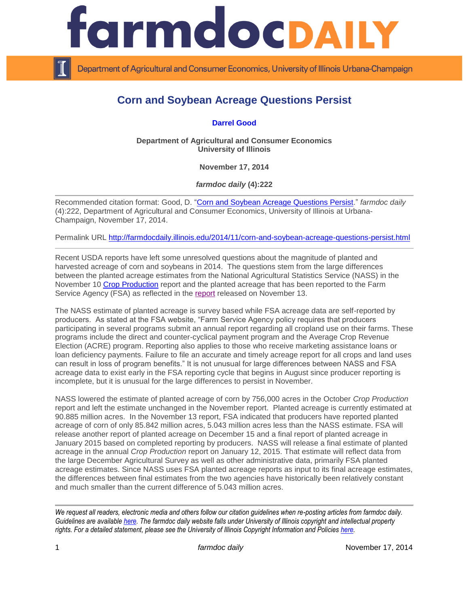

Department of Agricultural and Consumer Economics, University of Illinois Urbana-Champaign

## **Corn and Soybean Acreage Questions Persist**

**[Darrel Good](http://farmdoc.illinois.edu/good/)**

**Department of Agricultural and Consumer Economics University of Illinois**

**November 17, 2014**

*farmdoc daily* **(4):222**

Recommended citation format: Good, D. ["Corn and Soybean Acreage Questions Persist.](http://farmdocdaily.illinois.edu/2014/11/corn-and-soybean-acreage-questions-persist.html)" *farmdoc daily* (4):222, Department of Agricultural and Consumer Economics, University of Illinois at Urbana-Champaign, November 17, 2014.

Permalink URL<http://farmdocdaily.illinois.edu/2014/11/corn-and-soybean-acreage-questions-persist.html>

Recent USDA reports have left some unresolved questions about the magnitude of planted and harvested acreage of corn and soybeans in 2014. The questions stem from the large differences between the planted acreage estimates from the National Agricultural Statistics Service (NASS) in the November 10 [Crop Production](http://usda.mannlib.cornell.edu/usda/nass/CropProd/2010s/2014/CropProd-11-10-2014.pdf) report and the planted acreage that has been reported to the Farm Service Agency (FSA) as reflected in the [report](http://www.fsa.usda.gov/FSA/webapp?area=newsroom&subject=landing&topic=foi-er-fri-cad) released on November 13.

The NASS estimate of planted acreage is survey based while FSA acreage data are self-reported by producers. As stated at the FSA website, "Farm Service Agency policy requires that producers participating in several programs submit an annual report regarding all cropland use on their farms. These programs include the direct and counter-cyclical payment program and the Average Crop Revenue Election (ACRE) program. Reporting also applies to those who receive marketing assistance loans or loan deficiency payments. Failure to file an accurate and timely acreage report for all crops and land uses can result in loss of program benefits." It is not unusual for large differences between NASS and FSA acreage data to exist early in the FSA reporting cycle that begins in August since producer reporting is incomplete, but it is unusual for the large differences to persist in November.

NASS lowered the estimate of planted acreage of corn by 756,000 acres in the October *Crop Production* report and left the estimate unchanged in the November report. Planted acreage is currently estimated at 90.885 million acres. In the November 13 report, FSA indicated that producers have reported planted acreage of corn of only 85.842 million acres, 5.043 million acres less than the NASS estimate. FSA will release another report of planted acreage on December 15 and a final report of planted acreage in January 2015 based on completed reporting by producers. NASS will release a final estimate of planted acreage in the annual *Crop Production* report on January 12, 2015. That estimate will reflect data from the large December Agricultural Survey as well as other administrative data, primarily FSA planted acreage estimates. Since NASS uses FSA planted acreage reports as input to its final acreage estimates, the differences between final estimates from the two agencies have historically been relatively constant and much smaller than the current difference of 5.043 million acres.

*We request all readers, electronic media and others follow our citation guidelines when re-posting articles from farmdoc daily. Guidelines are available [here.](http://farmdocdaily.illinois.edu/citationguide.html) The farmdoc daily website falls under University of Illinois copyright and intellectual property rights. For a detailed statement, please see the University of Illinois Copyright Information and Policies [here.](http://www.cio.illinois.edu/policies/copyright/)*